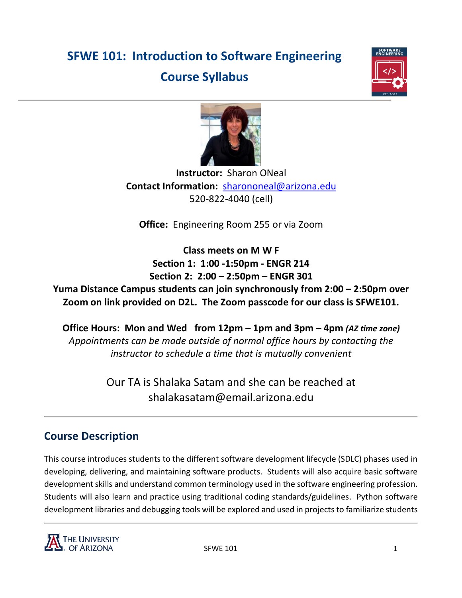# **SFWE 101: Introduction to Software Engineering Course Syllabus**





**Instructor:** Sharon ONeal **Contact Information:** [sharononeal@arizona.edu](mailto:sharononeal@arizona.edu) 520-822-4040 (cell)

**Office:** Engineering Room 255 or via Zoom

**Class meets on M W F Section 1: 1:00 -1:50pm - ENGR 214 Section 2: 2:00 – 2:50pm – ENGR 301**

**Yuma Distance Campus students can join synchronously from 2:00 – 2:50pm over Zoom on link provided on D2L. The Zoom passcode for our class is SFWE101.**

**Office Hours: Mon and Wed from 12pm – 1pm and 3pm – 4pm** *(AZ time zone) Appointments can be made outside of normal office hours by contacting the instructor to schedule a time that is mutually convenient* 

> Our TA is Shalaka Satam and she can be reached at shalakasatam@email.arizona.edu

# **Course Description**

This course introduces students to the different software development lifecycle (SDLC) phases used in developing, delivering, and maintaining software products. Students will also acquire basic software development skills and understand common terminology used in the software engineering profession. Students will also learn and practice using traditional coding standards/guidelines. Python software development libraries and debugging tools will be explored and used in projects to familiarize students

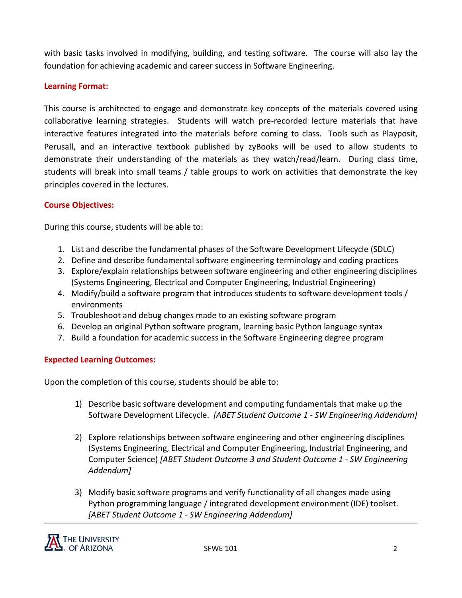with basic tasks involved in modifying, building, and testing software. The course will also lay the foundation for achieving academic and career success in Software Engineering.

# **Learning Format:**

This course is architected to engage and demonstrate key concepts of the materials covered using collaborative learning strategies. Students will watch pre-recorded lecture materials that have interactive features integrated into the materials before coming to class. Tools such as Playposit, Perusall, and an interactive textbook published by zyBooks will be used to allow students to demonstrate their understanding of the materials as they watch/read/learn. During class time, students will break into small teams / table groups to work on activities that demonstrate the key principles covered in the lectures.

# **Course Objectives:**

During this course, students will be able to:

- 1. List and describe the fundamental phases of the Software Development Lifecycle (SDLC)
- 2. Define and describe fundamental software engineering terminology and coding practices
- 3. Explore/explain relationships between software engineering and other engineering disciplines (Systems Engineering, Electrical and Computer Engineering, Industrial Engineering)
- 4. Modify/build a software program that introduces students to software development tools / environments
- 5. Troubleshoot and debug changes made to an existing software program
- 6. Develop an original Python software program, learning basic Python language syntax
- 7. Build a foundation for academic success in the Software Engineering degree program

# **Expected Learning Outcomes:**

Upon the completion of this course, students should be able to:

- 1) Describe basic software development and computing fundamentals that make up the Software Development Lifecycle. *[ABET Student Outcome 1 - SW Engineering Addendum]*
- 2) Explore relationships between software engineering and other engineering disciplines (Systems Engineering, Electrical and Computer Engineering, Industrial Engineering, and Computer Science) *[ABET Student Outcome 3 and Student Outcome 1 - SW Engineering Addendum]*
- 3) Modify basic software programs and verify functionality of all changes made using Python programming language / integrated development environment (IDE) toolset. *[ABET Student Outcome 1 - SW Engineering Addendum]*

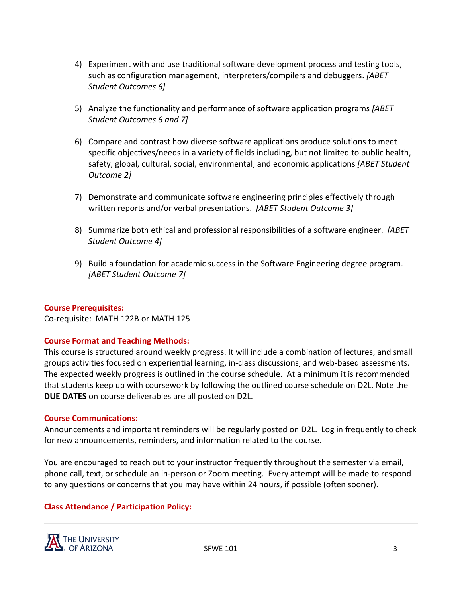- 4) Experiment with and use traditional software development process and testing tools, such as configuration management, interpreters/compilers and debuggers. *[ABET Student Outcomes 6]*
- 5) Analyze the functionality and performance of software application programs *[ABET Student Outcomes 6 and 7]*
- 6) Compare and contrast how diverse software applications produce solutions to meet specific objectives/needs in a variety of fields including, but not limited to public health, safety, global, cultural, social, environmental, and economic applications *[ABET Student Outcome 2]*
- 7) Demonstrate and communicate software engineering principles effectively through written reports and/or verbal presentations. *[ABET Student Outcome 3]*
- 8) Summarize both ethical and professional responsibilities of a software engineer. *[ABET Student Outcome 4]*
- 9) Build a foundation for academic success in the Software Engineering degree program. *[ABET Student Outcome 7]*

# **Course Prerequisites:**

Co-requisite: MATH 122B or MATH 125

# **Course Format and Teaching Methods:**

This course is structured around weekly progress. It will include a combination of lectures, and small groups activities focused on experiential learning, in-class discussions, and web-based assessments. The expected weekly progress is outlined in the course schedule. At a minimum it is recommended that students keep up with coursework by following the outlined course schedule on D2L. Note the **DUE DATES** on course deliverables are all posted on D2L.

#### **Course Communications:**

Announcements and important reminders will be regularly posted on D2L. Log in frequently to check for new announcements, reminders, and information related to the course.

You are encouraged to reach out to your instructor frequently throughout the semester via email, phone call, text, or schedule an in-person or Zoom meeting. Every attempt will be made to respond to any questions or concerns that you may have within 24 hours, if possible (often sooner).

# **Class Attendance / Participation Policy:**

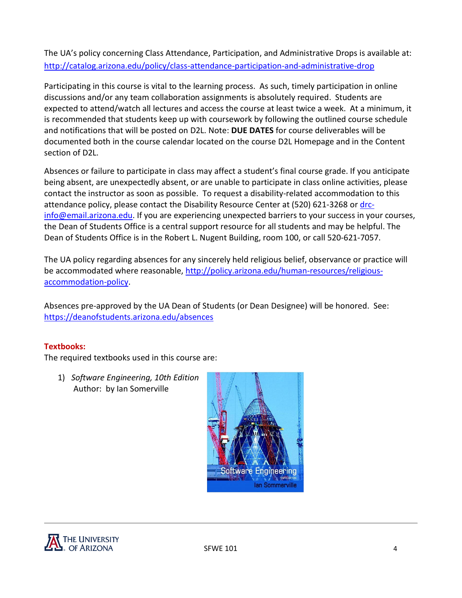The UA's policy concerning Class Attendance, Participation, and Administrative Drops is available at: <http://catalog.arizona.edu/policy/class-attendance-participation-and-administrative-drop>

Participating in this course is vital to the learning process. As such, timely participation in online discussions and/or any team collaboration assignments is absolutely required. Students are expected to attend/watch all lectures and access the course at least twice a week. At a minimum, it is recommended that students keep up with coursework by following the outlined course schedule and notifications that will be posted on D2L. Note: **DUE DATES** for course deliverables will be documented both in the course calendar located on the course D2L Homepage and in the Content section of D2L.

Absences or failure to participate in class may affect a student's final course grade. If you anticipate being absent, are unexpectedly absent, or are unable to participate in class online activities, please contact the instructor as soon as possible. To request a disability-related accommodation to this attendance policy, please contact the Disability Resource Center at (520) 621-3268 or [drc](mailto:drc-info@email.arizona.edu)[info@email.arizona.edu.](mailto:drc-info@email.arizona.edu) If you are experiencing unexpected barriers to your success in your courses, the Dean of Students Office is a central support resource for all students and may be helpful. The Dean of Students Office is in the Robert L. Nugent Building, room 100, or call 520-621-7057.

The UA policy regarding absences for any sincerely held religious belief, observance or practice will be accommodated where reasonable[, http://policy.arizona.edu/human-resources/religious](http://policy.arizona.edu/human-resources/religious-accommodation-policy)[accommodation-policy.](http://policy.arizona.edu/human-resources/religious-accommodation-policy)

Absences pre-approved by the UA Dean of Students (or Dean Designee) will be honored. See: <https://deanofstudents.arizona.edu/absences>

# **Textbooks:**

The required textbooks used in this course are:

1) *Software Engineering, 10th Edition* Author: by Ian Somerville



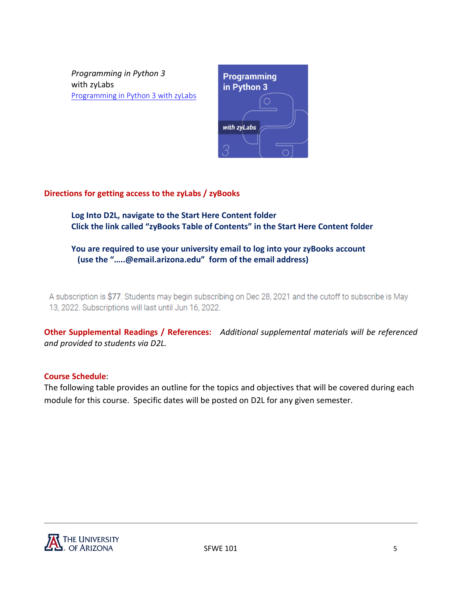*Programming in Python 3*  with zyLabs [Programming in Python 3 with zyLabs](https://www.zybooks.com/catalog/programming-in-python-3/)



# **Directions for getting access to the zyLabs / zyBooks**

**Log Into D2L, navigate to the Start Here Content folder Click the link called "zyBooks Table of Contents" in the Start Here Content folder**

**You are required to use your university email to log into your zyBooks account (use the "…..@email.arizona.edu" form of the email address)**

A subscription is \$77. Students may begin subscribing on Dec 28, 2021 and the cutoff to subscribe is May 13, 2022. Subscriptions will last until Jun 16, 2022.

**Other Supplemental Readings / References:** *Additional supplemental materials will be referenced and provided to students via D2L.*

# **Course Schedule**:

The following table provides an outline for the topics and objectives that will be covered during each module for this course. Specific dates will be posted on D2L for any given semester.

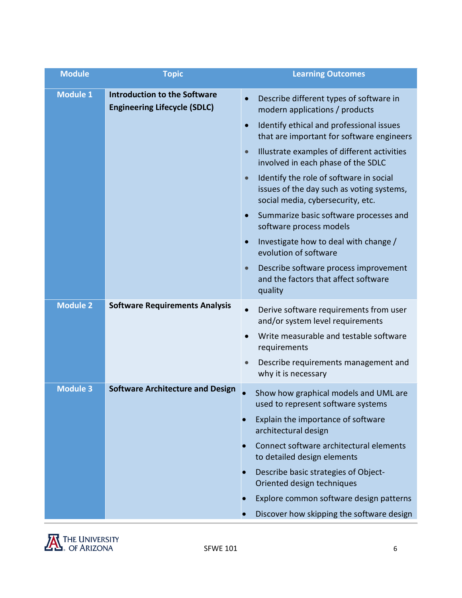| <b>Module</b>                                                                                 | <b>Topic</b>                                                                           | <b>Learning Outcomes</b>                                                                                                               |
|-----------------------------------------------------------------------------------------------|----------------------------------------------------------------------------------------|----------------------------------------------------------------------------------------------------------------------------------------|
| <b>Module 1</b><br><b>Introduction to the Software</b><br><b>Engineering Lifecycle (SDLC)</b> | Describe different types of software in<br>$\bullet$<br>modern applications / products |                                                                                                                                        |
|                                                                                               |                                                                                        | Identify ethical and professional issues<br>$\bullet$<br>that are important for software engineers                                     |
|                                                                                               |                                                                                        | Illustrate examples of different activities<br>$\bullet$<br>involved in each phase of the SDLC                                         |
|                                                                                               |                                                                                        | Identify the role of software in social<br>$\bullet$<br>issues of the day such as voting systems,<br>social media, cybersecurity, etc. |
|                                                                                               |                                                                                        | Summarize basic software processes and<br>$\bullet$<br>software process models                                                         |
|                                                                                               |                                                                                        | Investigate how to deal with change /<br>$\bullet$<br>evolution of software                                                            |
|                                                                                               |                                                                                        | Describe software process improvement<br>$\bullet$<br>and the factors that affect software<br>quality                                  |
| <b>Module 2</b>                                                                               | <b>Software Requirements Analysis</b>                                                  | Derive software requirements from user<br>$\bullet$<br>and/or system level requirements                                                |
|                                                                                               |                                                                                        | Write measurable and testable software<br>requirements                                                                                 |
|                                                                                               |                                                                                        | Describe requirements management and<br>$\qquad \qquad \bullet$<br>why it is necessary                                                 |
| <b>Module 3</b>                                                                               | <b>Software Architecture and Design</b>                                                | Show how graphical models and UML are<br>used to represent software systems                                                            |
|                                                                                               |                                                                                        | Explain the importance of software<br>architectural design                                                                             |
|                                                                                               |                                                                                        | Connect software architectural elements<br>to detailed design elements                                                                 |
|                                                                                               |                                                                                        | Describe basic strategies of Object-<br>Oriented design techniques                                                                     |
|                                                                                               |                                                                                        | Explore common software design patterns                                                                                                |
|                                                                                               |                                                                                        | Discover how skipping the software design                                                                                              |

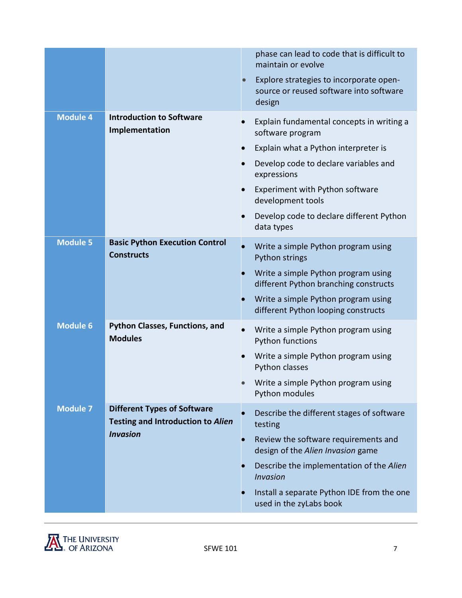|                 |                                                                                | phase can lead to code that is difficult to<br>maintain or evolve                            |
|-----------------|--------------------------------------------------------------------------------|----------------------------------------------------------------------------------------------|
|                 |                                                                                | Explore strategies to incorporate open-<br>source or reused software into software<br>design |
| <b>Module 4</b> | <b>Introduction to Software</b><br>Implementation                              | Explain fundamental concepts in writing a<br>software program                                |
|                 |                                                                                | Explain what a Python interpreter is                                                         |
|                 |                                                                                | Develop code to declare variables and<br>expressions                                         |
|                 |                                                                                | Experiment with Python software<br>development tools                                         |
|                 |                                                                                | Develop code to declare different Python<br>data types                                       |
| <b>Module 5</b> | <b>Basic Python Execution Control</b><br><b>Constructs</b>                     | Write a simple Python program using<br>Python strings                                        |
|                 |                                                                                | Write a simple Python program using<br>different Python branching constructs                 |
|                 |                                                                                | Write a simple Python program using<br>different Python looping constructs                   |
| <b>Module 6</b> | <b>Python Classes, Functions, and</b><br><b>Modules</b>                        | Write a simple Python program using<br><b>Python functions</b>                               |
|                 |                                                                                | Write a simple Python program using<br>Python classes                                        |
|                 |                                                                                | Write a simple Python program using<br>Python modules                                        |
| <b>Module 7</b> | <b>Different Types of Software</b><br><b>Testing and Introduction to Alien</b> | Describe the different stages of software<br>testing                                         |
|                 | <b>Invasion</b>                                                                | Review the software requirements and<br>design of the Alien Invasion game                    |
|                 |                                                                                | Describe the implementation of the Alien<br><b>Invasion</b>                                  |
|                 |                                                                                | Install a separate Python IDE from the one<br>used in the zyLabs book                        |
|                 |                                                                                |                                                                                              |

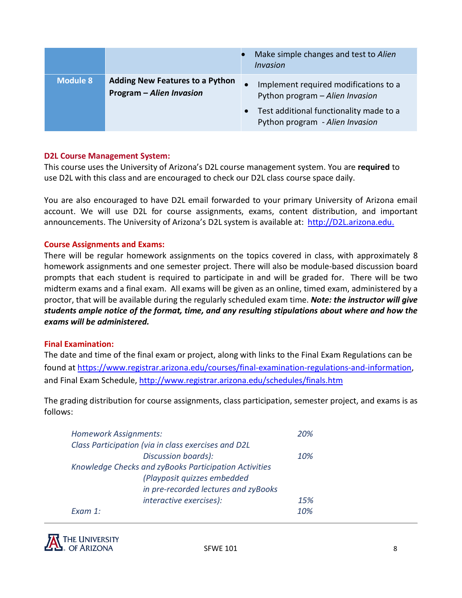|                 |                                                                    | Make simple changes and test to Alien<br><i>Invasion</i>                   |
|-----------------|--------------------------------------------------------------------|----------------------------------------------------------------------------|
| <b>Module 8</b> | <b>Adding New Features to a Python</b><br>Program - Alien Invasion | Implement required modifications to a<br>Python program - Alien Invasion   |
|                 |                                                                    | Test additional functionality made to a<br>Python program - Alien Invasion |

#### **D2L Course Management System:**

This course uses the University of Arizona's D2L course management system. You are **required** to use D2L with this class and are encouraged to check our D2L class course space daily.

You are also encouraged to have D2L email forwarded to your primary University of Arizona email account. We will use D2L for course assignments, exams, content distribution, and important announcements. The University of Arizona's D2L system is available at: [http://D2L.arizona.edu.](http://d2l.arizona.edu./)

#### **Course Assignments and Exams:**

There will be regular homework assignments on the topics covered in class, with approximately 8 homework assignments and one semester project. There will also be module-based discussion board prompts that each student is required to participate in and will be graded for. There will be two midterm exams and a final exam. All exams will be given as an online, timed exam, administered by a proctor, that will be available during the regularly scheduled exam time. *Note: the instructor will give students ample notice of the format, time, and any resulting stipulations about where and how the exams will be administered.* 

#### **Final Examination:**

The date and time of the final exam or project, along with links to the Final Exam Regulations can be found a[t https://www.registrar.arizona.edu/courses/final-examination-regulations-and-information,](https://www.registrar.arizona.edu/courses/final-examination-regulations-and-information) and Final Exam Schedule,<http://www.registrar.arizona.edu/schedules/finals.htm>

The grading distribution for course assignments, class participation, semester project, and exams is as follows:

| <b>Homework Assignments:</b>                          | 20% |  |
|-------------------------------------------------------|-----|--|
| Class Participation (via in class exercises and D2L   |     |  |
| Discussion boards):                                   | 10% |  |
| Knowledge Checks and zyBooks Participation Activities |     |  |
| (Playposit quizzes embedded                           |     |  |
| in pre-recorded lectures and zyBooks                  |     |  |
| interactive exercises):                               | 15% |  |
| Fxam 1:                                               | 10% |  |

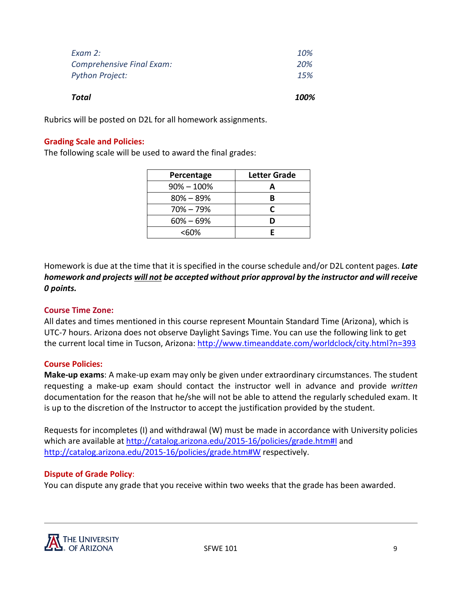| Total                            | 100% |
|----------------------------------|------|
| <b>Python Project:</b>           | 15%  |
| <b>Comprehensive Final Exam:</b> | 20%  |
| Exam 2:                          | 10%  |
|                                  |      |

Rubrics will be posted on D2L for all homework assignments.

### **Grading Scale and Policies:**

The following scale will be used to award the final grades:

| Percentage     | <b>Letter Grade</b> |
|----------------|---------------------|
| $90\% - 100\%$ |                     |
| $80\% - 89\%$  |                     |
| $70\% - 79\%$  | r                   |
| $60\% - 69\%$  |                     |
| <60%           |                     |

Homework is due at the time that it is specified in the course schedule and/or D2L content pages. *Late homework and projects will not be accepted without prior approval by the instructor and will receive 0 points.*

#### **Course Time Zone:**

All dates and times mentioned in this course represent Mountain Standard Time (Arizona), which is UTC-7 hours. Arizona does not observe Daylight Savings Time. You can use the following link to get the current local time in Tucson, Arizona[: http://www.timeanddate.com/worldclock/city.html?n=393](http://www.timeanddate.com/worldclock/city.html?n=393)

#### **Course Policies:**

**Make-up exams**: A make-up exam may only be given under extraordinary circumstances. The student requesting a make-up exam should contact the instructor well in advance and provide *written* documentation for the reason that he/she will not be able to attend the regularly scheduled exam. It is up to the discretion of the Instructor to accept the justification provided by the student.

Requests for incompletes (I) and withdrawal (W) must be made in accordance with University policies which are available at<http://catalog.arizona.edu/2015-16/policies/grade.htm#I> and <http://catalog.arizona.edu/2015-16/policies/grade.htm#W> respectively.

#### **Dispute of Grade Policy**:

You can dispute any grade that you receive within two weeks that the grade has been awarded.

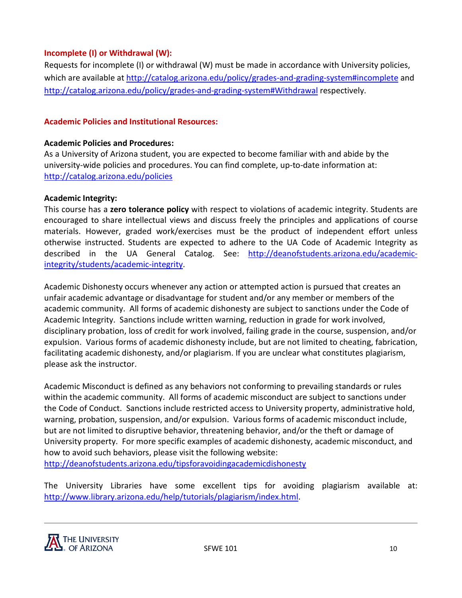# **Incomplete (I) or Withdrawal (W):**

Requests for incomplete (I) or withdrawal (W) must be made in accordance with University policies, which are available at<http://catalog.arizona.edu/policy/grades-and-grading-system#incomplete> and <http://catalog.arizona.edu/policy/grades-and-grading-system#Withdrawal> respectively.

# **Academic Policies and Institutional Resources:**

#### **Academic Policies and Procedures:**

As a University of Arizona student, you are expected to become familiar with and abide by the university-wide policies and procedures. You can find complete, up-to-date information at: <http://catalog.arizona.edu/policies>

#### **Academic Integrity:**

This course has a **zero tolerance policy** with respect to violations of academic integrity. Students are encouraged to share intellectual views and discuss freely the principles and applications of course materials. However, graded work/exercises must be the product of independent effort unless otherwise instructed. Students are expected to adhere to the UA Code of Academic Integrity as described in the UA General Catalog. See: [http://deanofstudents.arizona.edu/academic](http://deanofstudents.arizona.edu/academic-integrity/students/academic-integrity)[integrity/students/academic-integrity.](http://deanofstudents.arizona.edu/academic-integrity/students/academic-integrity)

Academic Dishonesty occurs whenever any action or attempted action is pursued that creates an unfair academic advantage or disadvantage for student and/or any member or members of the academic community. All forms of academic dishonesty are subject to sanctions under the Code of Academic Integrity. Sanctions include written warning, reduction in grade for work involved, disciplinary probation, loss of credit for work involved, failing grade in the course, suspension, and/or expulsion. Various forms of academic dishonesty include, but are not limited to cheating, fabrication, facilitating academic dishonesty, and/or plagiarism. If you are unclear what constitutes plagiarism, please ask the instructor.

Academic Misconduct is defined as any behaviors not conforming to prevailing standards or rules within the academic community. All forms of academic misconduct are subject to sanctions under the Code of Conduct. Sanctions include restricted access to University property, administrative hold, warning, probation, suspension, and/or expulsion. Various forms of academic misconduct include, but are not limited to disruptive behavior, threatening behavior, and/or the theft or damage of University property. For more specific examples of academic dishonesty, academic misconduct, and how to avoid such behaviors, please visit the following website: <http://deanofstudents.arizona.edu/tipsforavoidingacademicdishonesty>

The University Libraries have some excellent tips for avoiding plagiarism available at: [http://www.library.arizona.edu/help/tutorials/plagiarism/index.html.](http://www.library.arizona.edu/help/tutorials/plagiarism/index.html)

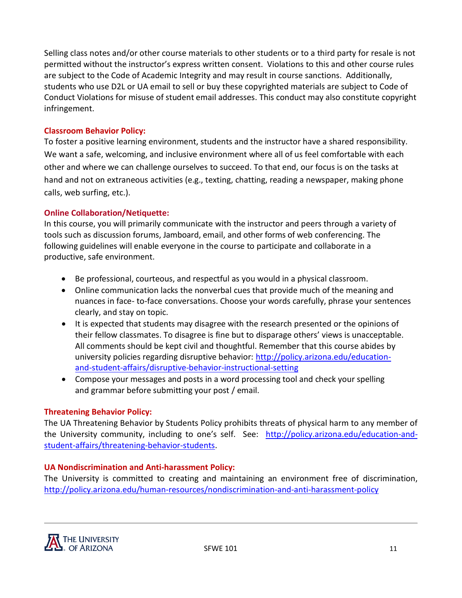Selling class notes and/or other course materials to other students or to a third party for resale is not permitted without the instructor's express written consent. Violations to this and other course rules are subject to the Code of Academic Integrity and may result in course sanctions. Additionally, students who use D2L or UA email to sell or buy these copyrighted materials are subject to Code of Conduct Violations for misuse of student email addresses. This conduct may also constitute copyright infringement.

## **Classroom Behavior Policy:**

To foster a positive learning environment, students and the instructor have a shared responsibility. We want a safe, welcoming, and inclusive environment where all of us feel comfortable with each other and where we can challenge ourselves to succeed. To that end, our focus is on the tasks at hand and not on extraneous activities (e.g., texting, chatting, reading a newspaper, making phone calls, web surfing, etc.).

#### **Online Collaboration/Netiquette:**

In this course, you will primarily communicate with the instructor and peers through a variety of tools such as discussion forums, Jamboard, email, and other forms of web conferencing. The following guidelines will enable everyone in the course to participate and collaborate in a productive, safe environment.

- Be professional, courteous, and respectful as you would in a physical classroom.
- Online communication lacks the nonverbal cues that provide much of the meaning and nuances in face- to-face conversations. Choose your words carefully, phrase your sentences clearly, and stay on topic.
- It is expected that students may disagree with the research presented or the opinions of their fellow classmates. To disagree is fine but to disparage others' views is unacceptable. All comments should be kept civil and thoughtful. Remember that this course abides by university policies regarding disruptive behavior: [http://policy.arizona.edu/education](http://policy.arizona.edu/education-and-student-affairs/disruptive-behavior-instructional-setting)[and-student-affairs/disruptive-behavior-instructional-setting](http://policy.arizona.edu/education-and-student-affairs/disruptive-behavior-instructional-setting)
- Compose your messages and posts in a word processing tool and check your spelling and grammar before submitting your post / email.

#### **Threatening Behavior Policy:**

The UA Threatening Behavior by Students Policy prohibits threats of physical harm to any member of the University community, including to one's self. See: [http://policy.arizona.edu/education-and](http://policy.arizona.edu/education-and-student-affairs/threatening-behavior-students)[student-affairs/threatening-behavior-students.](http://policy.arizona.edu/education-and-student-affairs/threatening-behavior-students)

#### **UA Nondiscrimination and Anti-harassment Policy:**

The University is committed to creating and maintaining an environment free of discrimination, <http://policy.arizona.edu/human-resources/nondiscrimination-and-anti-harassment-policy>

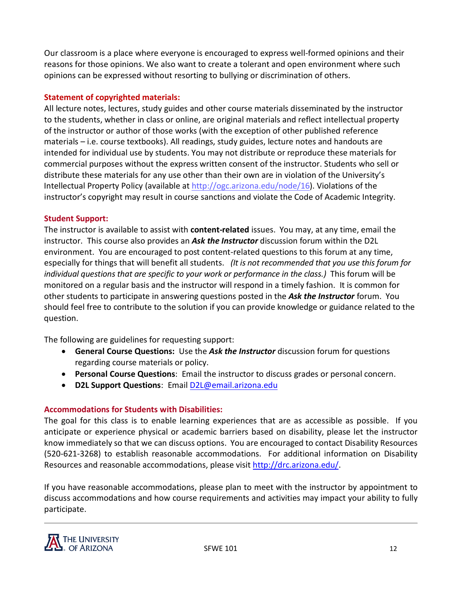Our classroom is a place where everyone is encouraged to express well-formed opinions and their reasons for those opinions. We also want to create a tolerant and open environment where such opinions can be expressed without resorting to bullying or discrimination of others.

# **Statement of copyrighted materials:**

All lecture notes, lectures, study guides and other course materials disseminated by the instructor to the students, whether in class or online, are original materials and reflect intellectual property of the instructor or author of those works (with the exception of other published reference materials – i.e. course textbooks). All readings, study guides, lecture notes and handouts are intended for individual use by students. You may not distribute or reproduce these materials for commercial purposes without the express written consent of the instructor. Students who sell or distribute these materials for any use other than their own are in violation of the University's Intellectual Property Policy (available at [http://ogc.arizona.edu/node/16\)](http://ogc.arizona.edu/node/16). Violations of the instructor's copyright may result in course sanctions and violate the Code of Academic Integrity.

# **Student Support:**

The instructor is available to assist with **content-related** issues. You may, at any time, email the instructor. This course also provides an *Ask the Instructor* discussion forum within the D2L environment. You are encouraged to post content-related questions to this forum at any time, especially for things that will benefit all students. *(It is not recommended that you use this forum for individual questions that are specific to your work or performance in the class.)* This forum will be monitored on a regular basis and the instructor will respond in a timely fashion. It is common for other students to participate in answering questions posted in the *Ask the Instructor* forum. You should feel free to contribute to the solution if you can provide knowledge or guidance related to the question.

The following are guidelines for requesting support:

- **General Course Questions:** Use the *Ask the Instructor* discussion forum for questions regarding course materials or policy.
- **Personal Course Questions**: Email the instructor to discuss grades or personal concern.
- **D2L Support Questions**: Email [D2L@email.arizona.edu](mailto:D2L@email.arizona.edu)

# **Accommodations for Students with Disabilities:**

The goal for this class is to enable learning experiences that are as accessible as possible. If you anticipate or experience physical or academic barriers based on disability, please let the instructor know immediately so that we can discuss options. You are encouraged to contact Disability Resources (520-621-3268) to establish reasonable accommodations. For additional information on Disability Resources and reasonable accommodations, please visit [http://drc.arizona.edu/.](http://drc.arizona.edu/)

If you have reasonable accommodations, please plan to meet with the instructor by appointment to discuss accommodations and how course requirements and activities may impact your ability to fully participate.

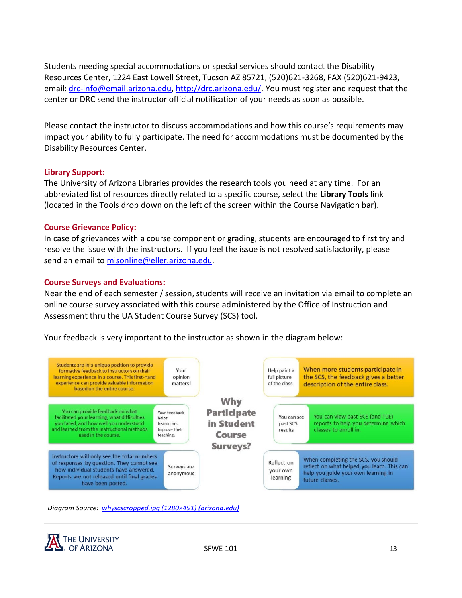Students needing special accommodations or special services should contact the Disability Resources Center, 1224 East Lowell Street, Tucson AZ 85721, (520)621-3268, FAX (520)621-9423, email: [drc-info@email.arizona.edu,](mailto:drc-info@email.arizona.edu) [http://drc.arizona.edu/.](http://drc.arizona.edu/) You must register and request that the center or DRC send the instructor official notification of your needs as soon as possible.

Please contact the instructor to discuss accommodations and how this course's requirements may impact your ability to fully participate. The need for accommodations must be documented by the Disability Resources Center.

#### **Library Support:**

The University of Arizona Libraries provides the research tools you need at any time. For an abbreviated list of resources directly related to a specific course, select the **Library Tools** link (located in the Tools drop down on the left of the screen within the Course Navigation bar).

#### **Course Grievance Policy:**

In case of grievances with a course component or grading, students are encouraged to first try and resolve the issue with the instructors. If you feel the issue is not resolved satisfactorily, please send an email to [misonline@eller.arizona.edu.](mailto:misonline@eller.arizona.edu)

#### **Course Surveys and Evaluations:**

Near the end of each semester / session, students will receive an invitation via email to complete an online course survey associated with this course administered by the Office of Instruction and Assessment thru the UA Student Course Survey (SCS) tool.

Your feedback is very important to the instructor as shown in the diagram below:



*Diagram Source: [whyscscropped.jpg \(1280×491\) \(arizona.edu\)](https://scs.arizona.edu/sites/scs.sites.arizona.edu/files/inline-images/whyscscropped.jpg)*